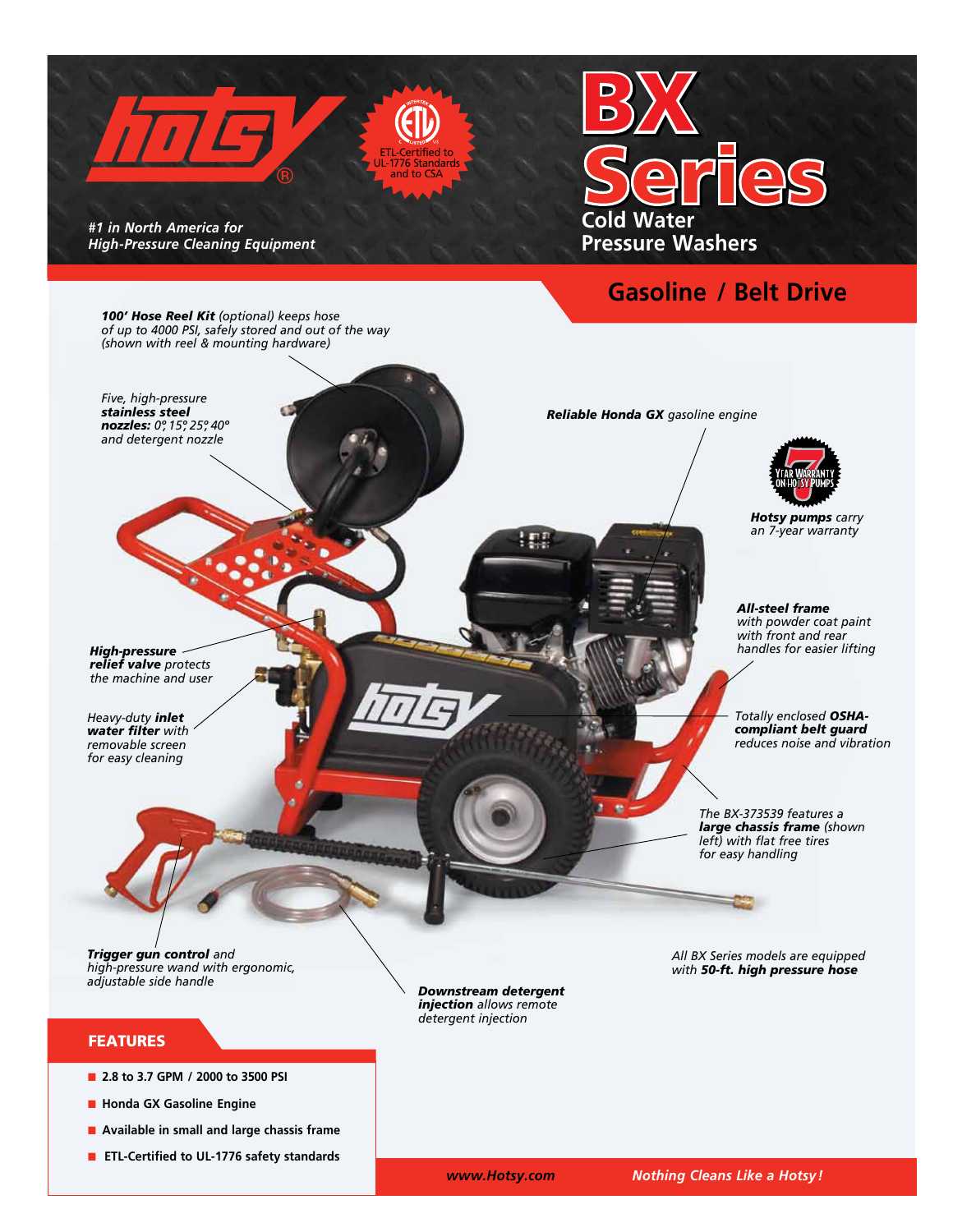

## **Gasoline / Belt Drive**

*100' Hose Reel Kit (optional) keeps hose of up to 4000 PSI, safely stored and out of the way (shown with reel & mounting hardware)*

*Five, high-pressure stainless steel nozzles: 0º, 15º, 25º, 40º and detergent nozzle*

*Reliable Honda GX gasoline engine* 



*Hotsy pumps carry an 7-year warranty*

*All-steel frame with powder coat paint with front and rear handles for easier lifting*

*High-pressure relief valve protects the machine and user* 

*Heavy-duty inlet water filter with removable screen for easy cleaning* 

*Totally enclosed OSHAcompliant belt guard reduces noise and vibration*

*The BX-373539 features a large chassis frame (shown left) with flat free tires for easy handling*

*All BX Series models are equipped with 50-ft. high pressure hose*

*Trigger gun control and high-pressure wand with ergonomic, adjustable side handle*

#### FEATURES

- 2.8 to 3.7 GPM / 2000 to 3500 PSI
- $\blacksquare$  **Honda GX Gasoline Engine**
- Available in small and large chassis frame
- **ETL-Certified to UL-1776 safety standards**

*Downstream detergent injection allows remote detergent injection*

 *www.Hotsy.com Nothing Cleans Like a Hotsy!*